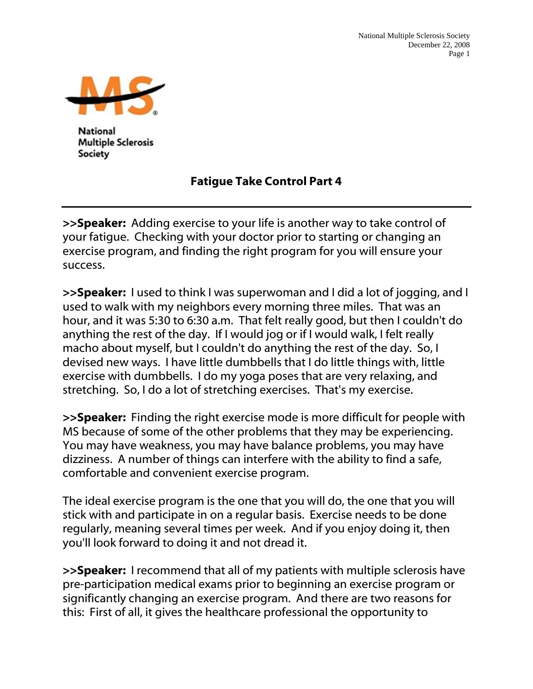

**National Multiple Sclerosis** Society

## Fatigue Take Control Part 4

>>Speaker: Adding exercise to your life is another way to take control of your fatigue. Checking with your doctor prior to starting or changing an exercise program, and finding the right program for you will ensure your success.

>>Speaker: I used to think I was superwoman and I did a lot of jogging, and I used to walk with my neighbors every morning three miles. That was an hour, and it was 5:30 to 6:30 a.m. That felt really good, but then I couldn't do anything the rest of the day. If I would jog or if I would walk, I felt really macho about myself, but I couldn't do anything the rest of the day. So, I devised new ways. I have little dumbbells that I do little things with, little exercise with dumbbells. I do my yoga poses that are very relaxing, and stretching. So, I do a lot of stretching exercises. That's my exercise.

>>Speaker: Finding the right exercise mode is more difficult for people with MS because of some of the other problems that they may be experiencing. You may have weakness, you may have balance problems, you may have dizziness. A number of things can interfere with the ability to find a safe, comfortable and convenient exercise program.

The ideal exercise program is the one that you will do, the one that you will stick with and participate in on a regular basis. Exercise needs to be done regularly, meaning several times per week. And if you enjoy doing it, then you'll look forward to doing it and not dread it.

>>Speaker: I recommend that all of my patients with multiple sclerosis have pre-participation medical exams prior to beginning an exercise program or significantly changing an exercise program. And there are two reasons for this: First of all, it gives the healthcare professional the opportunity to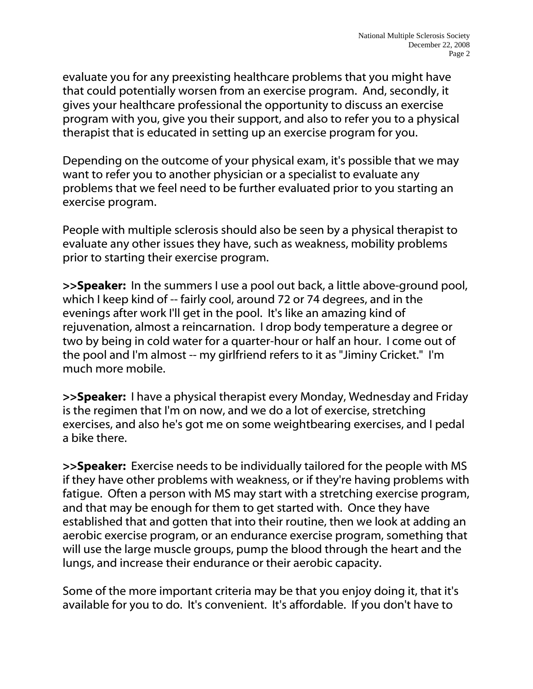evaluate you for any preexisting healthcare problems that you might have that could potentially worsen from an exercise program. And, secondly, it gives your healthcare professional the opportunity to discuss an exercise program with you, give you their support, and also to refer you to a physical therapist that is educated in setting up an exercise program for you.

Depending on the outcome of your physical exam, it's possible that we may want to refer you to another physician or a specialist to evaluate any problems that we feel need to be further evaluated prior to you starting an exercise program.

People with multiple sclerosis should also be seen by a physical therapist to evaluate any other issues they have, such as weakness, mobility problems prior to starting their exercise program.

**>>Speaker:** In the summers I use a pool out back, a little above-ground pool, which I keep kind of -- fairly cool, around 72 or 74 degrees, and in the evenings after work I'll get in the pool. It's like an amazing kind of rejuvenation, almost a reincarnation. I drop body temperature a degree or two by being in cold water for a quarter-hour or half an hour. I come out of the pool and I'm almost -- my girlfriend refers to it as "Jiminy Cricket." I'm much more mobile.

**>>Speaker:** I have a physical therapist every Monday, Wednesday and Friday is the regimen that I'm on now, and we do a lot of exercise, stretching exercises, and also he's got me on some weightbearing exercises, and I pedal a bike there.

>>Speaker: Exercise needs to be individually tailored for the people with MS if they have other problems with weakness, or if they're having problems with fatigue. Often a person with MS may start with a stretching exercise program, and that may be enough for them to get started with. Once they have established that and gotten that into their routine, then we look at adding an aerobic exercise program, or an endurance exercise program, something that will use the large muscle groups, pump the blood through the heart and the lungs, and increase their endurance or their aerobic capacity.

Some of the more important criteria may be that you enjoy doing it, that it's available for you to do. It's convenient. It's affordable. If you don't have to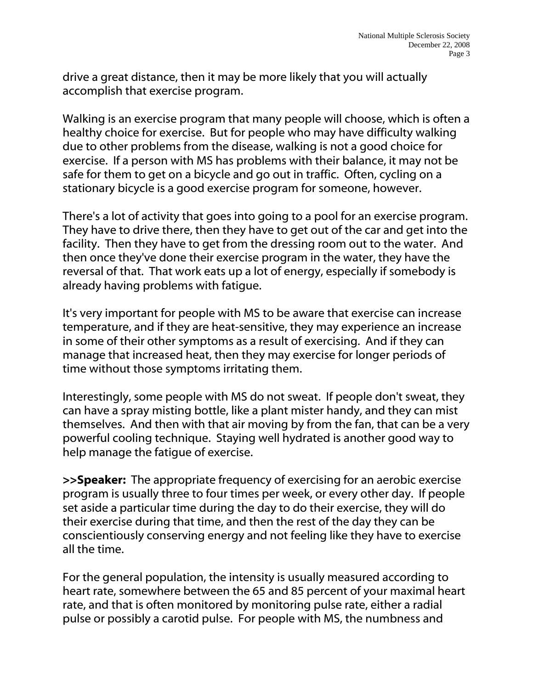drive a great distance, then it may be more likely that you will actually accomplish that exercise program.

Walking is an exercise program that many people will choose, which is often a healthy choice for exercise. But for people who may have difficulty walking due to other problems from the disease, walking is not a good choice for exercise. If a person with MS has problems with their balance, it may not be safe for them to get on a bicycle and go out in traffic. Often, cycling on a stationary bicycle is a good exercise program for someone, however.

There's a lot of activity that goes into going to a pool for an exercise program. They have to drive there, then they have to get out of the car and get into the facility. Then they have to get from the dressing room out to the water. And then once they've done their exercise program in the water, they have the reversal of that. That work eats up a lot of energy, especially if somebody is already having problems with fatigue.

It's very important for people with MS to be aware that exercise can increase temperature, and if they are heat-sensitive, they may experience an increase in some of their other symptoms as a result of exercising. And if they can manage that increased heat, then they may exercise for longer periods of time without those symptoms irritating them.

Interestingly, some people with MS do not sweat. If people don't sweat, they can have a spray misting bottle, like a plant mister handy, and they can mist themselves. And then with that air moving by from the fan, that can be a very powerful cooling technique. Staying well hydrated is another good way to help manage the fatigue of exercise.

>>Speaker: The appropriate frequency of exercising for an aerobic exercise program is usually three to four times per week, or every other day. If people set aside a particular time during the day to do their exercise, they will do their exercise during that time, and then the rest of the day they can be conscientiously conserving energy and not feeling like they have to exercise all the time.

For the general population, the intensity is usually measured according to heart rate, somewhere between the 65 and 85 percent of your maximal heart rate, and that is often monitored by monitoring pulse rate, either a radial pulse or possibly a carotid pulse. For people with MS, the numbness and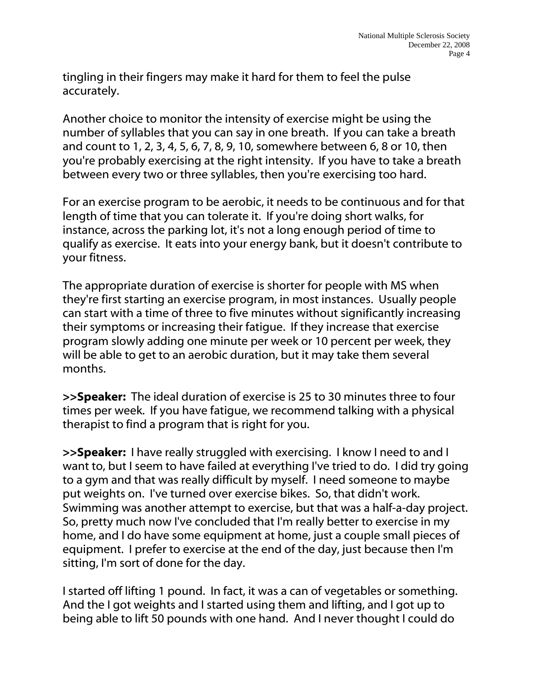tingling in their fingers may make it hard for them to feel the pulse accurately.

Another choice to monitor the intensity of exercise might be using the number of syllables that you can say in one breath. If you can take a breath and count to 1, 2, 3, 4, 5, 6, 7, 8, 9, 10, somewhere between 6, 8 or 10, then you're probably exercising at the right intensity. If you have to take a breath between every two or three syllables, then you're exercising too hard.

For an exercise program to be aerobic, it needs to be continuous and for that length of time that you can tolerate it. If you're doing short walks, for instance, across the parking lot, it's not a long enough period of time to qualify as exercise. It eats into your energy bank, but it doesn't contribute to your fitness.

The appropriate duration of exercise is shorter for people with MS when they're first starting an exercise program, in most instances. Usually people can start with a time of three to five minutes without significantly increasing their symptoms or increasing their fatigue. If they increase that exercise program slowly adding one minute per week or 10 percent per week, they will be able to get to an aerobic duration, but it may take them several months.

>>Speaker: The ideal duration of exercise is 25 to 30 minutes three to four times per week. If you have fatigue, we recommend talking with a physical therapist to find a program that is right for you.

>>Speaker: I have really struggled with exercising. I know I need to and I want to, but I seem to have failed at everything I've tried to do. I did try going to a gym and that was really difficult by myself. I need someone to maybe put weights on. I've turned over exercise bikes. So, that didn't work. Swimming was another attempt to exercise, but that was a half-a-day project. So, pretty much now I've concluded that I'm really better to exercise in my home, and I do have some equipment at home, just a couple small pieces of equipment. I prefer to exercise at the end of the day, just because then I'm sitting, I'm sort of done for the day.

I started off lifting 1 pound. In fact, it was a can of vegetables or something. And the I got weights and I started using them and lifting, and I got up to being able to lift 50 pounds with one hand. And I never thought I could do